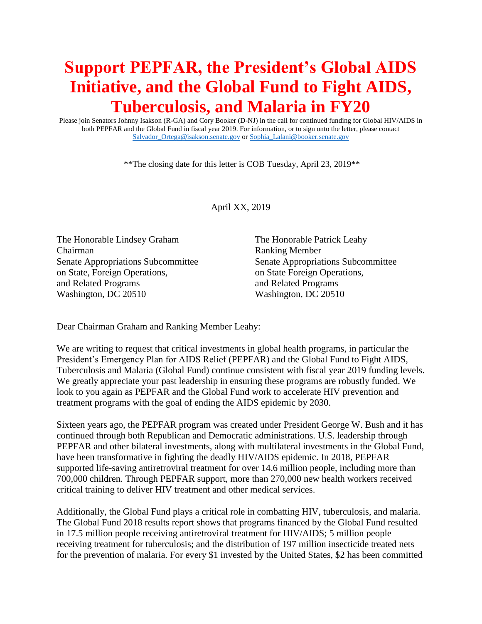## **Support PEPFAR, the President's Global AIDS Initiative, and the Global Fund to Fight AIDS, Tuberculosis, and Malaria in FY20**

Please join Senators Johnny Isakson (R-GA) and Cory Booker (D-NJ) in the call for continued funding for Global HIV/AIDS in both PEPFAR and the Global Fund in fiscal year 2019. For information, or to sign onto the letter, please contact [Salvador\\_Ortega@isakson.senate.gov](mailto:Salvador_Ortega@isakson.senate.gov) o[r Sophia\\_Lalani@booker.senate.gov](mailto:Sophia_Lalani@booker.senate.gov)

\*\*The closing date for this letter is COB Tuesday, April 23, 2019\*\*

April XX, 2019

The Honorable Lindsey Graham The Honorable Patrick Leahy Chairman Ranking Member on State, Foreign Operations, on State Foreign Operations, and Related Programs and Related Programs Washington, DC 20510 Washington, DC 20510

Senate Appropriations Subcommittee Senate Appropriations Subcommittee

Dear Chairman Graham and Ranking Member Leahy:

We are writing to request that critical investments in global health programs, in particular the President's Emergency Plan for AIDS Relief (PEPFAR) and the Global Fund to Fight AIDS, Tuberculosis and Malaria (Global Fund) continue consistent with fiscal year 2019 funding levels. We greatly appreciate your past leadership in ensuring these programs are robustly funded. We look to you again as PEPFAR and the Global Fund work to accelerate HIV prevention and treatment programs with the goal of ending the AIDS epidemic by 2030.

Sixteen years ago, the PEPFAR program was created under President George W. Bush and it has continued through both Republican and Democratic administrations. U.S. leadership through PEPFAR and other bilateral investments, along with multilateral investments in the Global Fund, have been transformative in fighting the deadly HIV/AIDS epidemic. In 2018, PEPFAR supported life-saving antiretroviral treatment for over 14.6 million people, including more than 700,000 children. Through PEPFAR support, more than 270,000 new health workers received critical training to deliver HIV treatment and other medical services.

Additionally, the Global Fund plays a critical role in combatting HIV, tuberculosis, and malaria. The Global Fund 2018 results report shows that programs financed by the Global Fund resulted in 17.5 million people receiving antiretroviral treatment for HIV/AIDS; 5 million people receiving treatment for tuberculosis; and the distribution of 197 million insecticide treated nets for the prevention of malaria. For every \$1 invested by the United States, \$2 has been committed